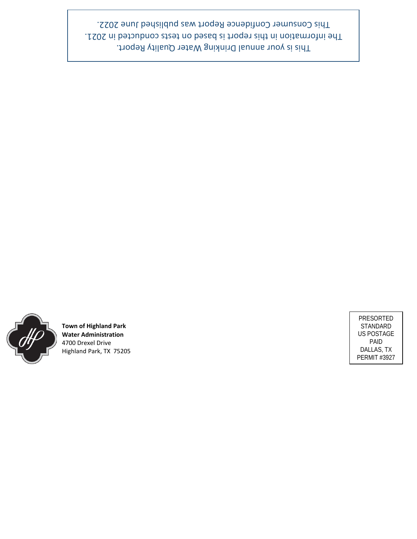

**Town of Highland Park Water Administration** 4700 Drexel Drive Highland Park, TX 75205

PRESORTED STANDARD US POSTAGE PAID DALLAS, TX PERMIT #3927

This is your annual Drinking Water Quality Report. The information in this report is based on tests conducted in 2021. This Consumer Confidence Report was published June 2022.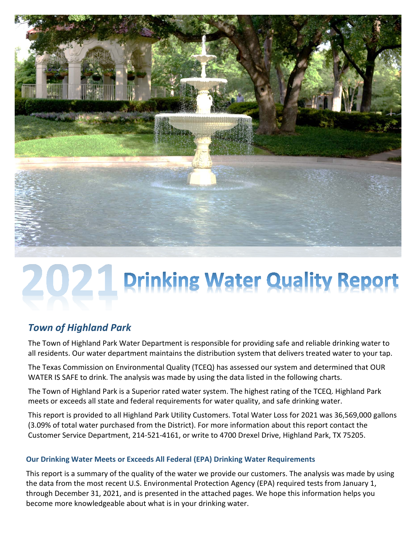

# **2021 Prinking Water Quality Report**

# *Town of Highland Park*

The Town of Highland Park Water Department is responsible for providing safe and reliable drinking water to all residents. Our water department maintains the distribution system that delivers treated water to your tap.

The Texas Commission on Environmental Quality (TCEQ) has assessed our system and determined that OUR WATER IS SAFE to drink. The analysis was made by using the data listed in the following charts.

The Town of Highland Park is a Superior rated water system. The highest rating of the TCEQ. Highland Park meets or exceeds all state and federal requirements for water quality, and safe drinking water.

This report is provided to all Highland Park Utility Customers. Total Water Loss for 2021 was 36,569,000 gallons (3.09% of total water purchased from the District). For more information about this report contact the Customer Service Department, 214-521-4161, or write to 4700 Drexel Drive, Highland Park, TX 75205.

## **Our Drinking Water Meets or Exceeds All Federal (EPA) Drinking Water Requirements**

This report is a summary of the quality of the water we provide our customers. The analysis was made by using the data from the most recent U.S. Environmental Protection Agency (EPA) required tests from January 1, through December 31, 2021, and is presented in the attached pages. We hope this information helps you become more knowledgeable about what is in your drinking water.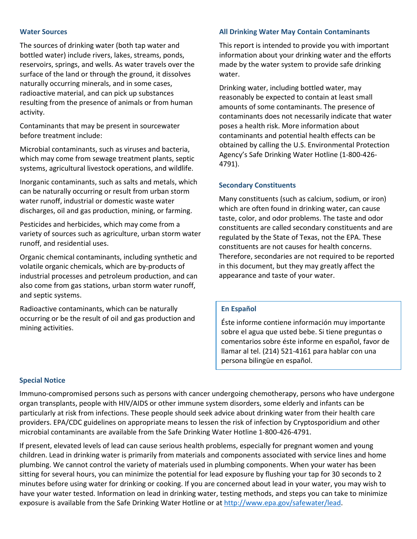#### **Water Sources**

The sources of drinking water (both tap water and bottled water) include rivers, lakes, streams, ponds, reservoirs, springs, and wells. As water travels over the surface of the land or through the ground, it dissolves naturally occurring minerals, and in some cases, radioactive material, and can pick up substances resulting from the presence of animals or from human activity.

Contaminants that may be present in sourcewater before treatment include:

Microbial contaminants, such as viruses and bacteria, which may come from sewage treatment plants, septic systems, agricultural livestock operations, and wildlife.

Inorganic contaminants, such as salts and metals, which can be naturally occurring or result from urban storm water runoff, industrial or domestic waste water discharges, oil and gas production, mining, or farming.

Pesticides and herbicides, which may come from a variety of sources such as agriculture, urban storm water runoff, and residential uses.

Organic chemical contaminants, including synthetic and volatile organic chemicals, which are by-products of industrial processes and petroleum production, and can also come from gas stations, urban storm water runoff, and septic systems.

Radioactive contaminants, which can be naturally occurring or be the result of oil and gas production and mining activities.

#### **All Drinking Water May Contain Contaminants**

This report is intended to provide you with important information about your drinking water and the efforts made by the water system to provide safe drinking water.

Drinking water, including bottled water, may reasonably be expected to contain at least small amounts of some contaminants. The presence of contaminants does not necessarily indicate that water poses a health risk. More information about contaminants and potential health effects can be obtained by calling the U.S. Environmental Protection Agency's Safe Drinking Water Hotline (1-800-426- 4791).

#### **Secondary Constituents**

Many constituents (such as calcium, sodium, or iron) which are often found in drinking water, can cause taste, color, and odor problems. The taste and odor constituents are called secondary constituents and are regulated by the State of Texas, not the EPA. These constituents are not causes for health concerns. Therefore, secondaries are not required to be reported in this document, but they may greatly affect the appearance and taste of your water.

#### **En Español**

Éste informe contiene información muy importante sobre el agua que usted bebe. Si tiene preguntas o comentarios sobre éste informe en español, favor de llamar al tel. (214) 521-4161 para hablar con una persona bilingüe en español.

#### **Special Notice**

Immuno-compromised persons such as persons with cancer undergoing chemotherapy, persons who have undergone organ transplants, people with HIV/AIDS or other immune system disorders, some elderly and infants can be particularly at risk from infections. These people should seek advice about drinking water from their health care providers. EPA/CDC guidelines on appropriate means to lessen the risk of infection by Cryptosporidium and other microbial contaminants are available from the Safe Drinking Water Hotline 1-800-426-4791.

If present, elevated levels of lead can cause serious health problems, especially for pregnant women and young children. Lead in drinking water is primarily from materials and components associated with service lines and home plumbing. We cannot control the variety of materials used in plumbing components. When your water has been sitting for several hours, you can minimize the potential for lead exposure by flushing your tap for 30 seconds to 2 minutes before using water for drinking or cooking. If you are concerned about lead in your water, you may wish to have your water tested. Information on lead in drinking water, testing methods, and steps you can take to minimize exposure is available from the Safe Drinking Water Hotline or at [http://www.epa.gov/safewater/lead.](http://www.epa.gov/safewater/lead)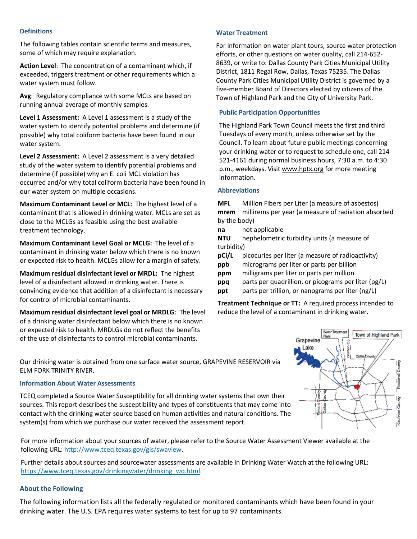#### **Definitions**

The following tables contain scientific terms and measures, some of which may require explanation.

**Action Level**: The concentration of a contaminant which, if exceeded, triggers treatment or other requirements which a water system must follow.

**Avg**: Regulatory compliance with some MCLs are based on running annual average of monthly samples.

**Level 1 Assessment:** A Level 1 assessment is a study of the water system to identify potential problems and determine (if possible) why total coliform bacteria have been found in our water system.

**Level 2 Assessment:** A Level 2 assessment is a very detailed study of the water system to identify potential problems and determine (if possible) why an E. coli MCL violation has occurred and/or why total coliform bacteria have been found in our water system on multiple occasions.

**Maximum Contaminant Level or MCL:** The highest level of a contaminant that is allowed in drinking water. MCLs are set as close to the MCLGs as feasible using the best available treatment technology.

**Maximum Contaminant Level Goal or MCLG:** The level of a contaminant in drinking water below which there is no known or expected risk to health. MCLGs allow for a margin of safety.

**Maximum residual disinfectant level or MRDL:** The highest level of a disinfectant allowed in drinking water. There is convincing evidence that addition of a disinfectant is necessary for control of microbial contaminants.

**Maximum residual disinfectant level goal or MRDLG:** The level of a drinking water disinfectant below which there is no known or expected risk to health. MRDLGs do not reflect the benefits of the use of disinfectants to control microbial contaminants.

#### **Water Treatment**

For information on water plant tours, source water protection efforts, or other questions on water quality, call 214-652- 8639, or write to: Dallas County Park Cities Municipal Utility District, 1811 Regal Row, Dallas, Texas 75235. The Dallas County Park Cities Municipal Utility District is governed by a five-member Board of Directors elected by citizens of the Town of Highland Park and the City of University Park.

#### **Public Participation Opportunities**

The Highland Park Town Council meets the first and third Tuesdays of every month, unless otherwise set by the Council. To learn about future public meetings concerning your drinking water or to request to schedule one, call 214- 521-4161 during normal business hours, 7:30 a.m. to 4:30 p.m., weekdays. Visit [www.hptx.org](http://www.hptx.org/) for more meeting information.

#### **Abbreviations**

**MFL** Million Fibers per Liter (a measure of asbestos) **mrem** millirems per year (a measure of radiation absorbed by the body)

- **na** not applicable
- **NTU** nephelometric turbidity units (a measure of turbidity)
- **pCi/L** picocuries per liter (a measure of radioactivity)
- **ppb** micrograms per liter or parts per billion
- **ppm** milligrams per liter or parts per million
- **ppq** parts per quadrillion, or picograms per liter (pg/L)
- **ppt** parts per trillion, or nanograms per liter (ng/L)

**Treatment Technique or TT:** A required process intended to reduce the level of a contaminant in drinking water.

Our drinking water is obtained from one surface water source, GRAPEVINE RESERVOIR via ELM FORK TRINITY RIVER.

#### **Information About Water Assessments**

TCEQ completed a Source Water Susceptibility for all drinking water systems that own their sources. This report describes the susceptibility and types of constituents that may come into contact with the drinking water source based on human activities and natural conditions. The system(s) from which we purchase our water received the assessment report.

For more information about your sources of water, please refer to the Source Water Assessment Viewer available at the following URL[: http://www.tceq.texas.gov/gis/swaview.](http://www.tceq.texas.gov/gis/swaview)

Further details about sources and sourcewater assessments are available in Drinking Water Watch at the following URL: https://www.tceq.texas.gov/drinkingwater/drinking\_wq.html

#### **About the Following**

The following information lists all the federally regulated or monitored contaminants which have been found in your drinking water. The U.S. EPA requires water systems to test for up to 97 contaminants.

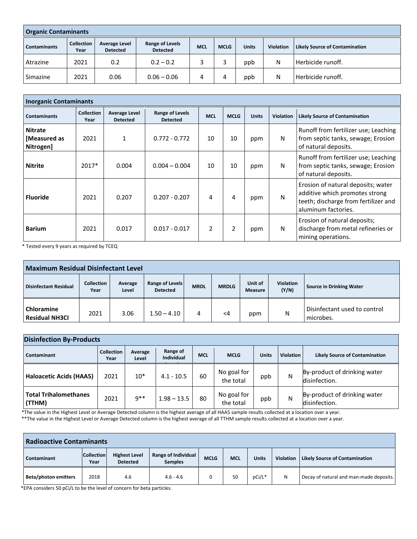| <b>Organic Contaminants</b> |                           |                                         |                                    |            |             |              |                  |                                       |  |  |  |
|-----------------------------|---------------------------|-----------------------------------------|------------------------------------|------------|-------------|--------------|------------------|---------------------------------------|--|--|--|
| <b>Contaminants</b>         | <b>Collection</b><br>Year | <b>Average Level</b><br><b>Detected</b> | Range of Levels<br><b>Detected</b> | <b>MCL</b> | <b>MCLG</b> | <b>Units</b> | <b>Violation</b> | <b>Likely Source of Contamination</b> |  |  |  |
| Atrazine                    | 2021                      | 0.2                                     | $0.2 - 0.2$                        |            |             | ppb          | N                | Herbicide runoff.                     |  |  |  |
| Simazine                    | 2021                      | 0.06                                    | $0.06 - 0.06$                      | 4          |             | ppb          | N                | Herbicide runoff.                     |  |  |  |

| <b>Inorganic Contaminants</b>               |                           |                                         |                                           |               |             |              |           |                                                                                                                                     |  |  |
|---------------------------------------------|---------------------------|-----------------------------------------|-------------------------------------------|---------------|-------------|--------------|-----------|-------------------------------------------------------------------------------------------------------------------------------------|--|--|
| <b>Contaminants</b>                         | <b>Collection</b><br>Year | <b>Average Level</b><br><b>Detected</b> | <b>Range of Levels</b><br><b>Detected</b> | <b>MCL</b>    | <b>MCLG</b> | <b>Units</b> | Violation | <b>Likely Source of Contamination</b>                                                                                               |  |  |
| <b>Nitrate</b><br>[Measured as<br>Nitrogen] | 2021                      |                                         | $0.772 - 0.772$                           | 10            | 10          | ppm          | N         | Runoff from fertilizer use; Leaching<br>from septic tanks, sewage; Erosion<br>of natural deposits.                                  |  |  |
| <b>Nitrite</b>                              | $2017*$                   | 0.004                                   | $0.004 - 0.004$                           | 10            | 10          | ppm          | N         | Runoff from fertilizer use; Leaching<br>from septic tanks, sewage; Erosion<br>of natural deposits.                                  |  |  |
| <b>Fluoride</b>                             | 2021                      | 0.207                                   | $0.207 - 0.207$                           | 4             | 4           | ppm          | N         | Erosion of natural deposits; water<br>additive which promotes strong<br>teeth; discharge from fertilizer and<br>aluminum factories. |  |  |
| <b>Barium</b>                               | 2021                      | 0.017                                   | $0.017 - 0.017$                           | $\mathfrak z$ | 2           | ppm          | N         | Erosion of natural deposits;<br>discharge from metal refineries or<br>mining operations.                                            |  |  |

\* Tested every 9 years as required by TCEQ

| <b>Maximum Residual Disinfectant Level</b> |                           |                  |                                    |             |              |                    |                           |                                           |  |  |
|--------------------------------------------|---------------------------|------------------|------------------------------------|-------------|--------------|--------------------|---------------------------|-------------------------------------------|--|--|
| <b>Disinfectant Residual</b>               | <b>Collection</b><br>Year | Average<br>Level | Range of Levels<br><b>Detected</b> | <b>MRDL</b> | <b>MRDLG</b> | Unit of<br>Measure | <b>Violation</b><br>(Y/N) | <b>Source in Drinking Water</b>           |  |  |
| <b>Chloramine</b><br><b>Residual NH3CI</b> | 2021                      | 3.06             | $1.50 - 4.10$                      | 4           | $\leq$ 4     | ppm                | N                         | Disinfectant used to control<br>microbes. |  |  |

| <b>Disinfection By-Products</b>        |                           |                  |                               |            |                          |              |                  |                                               |  |
|----------------------------------------|---------------------------|------------------|-------------------------------|------------|--------------------------|--------------|------------------|-----------------------------------------------|--|
| Contaminant                            | <b>Collection</b><br>Year | Average<br>Level | Range of<br><b>Individual</b> | <b>MCL</b> | <b>MCLG</b>              | <b>Units</b> | <b>Violation</b> | <b>Likely Source of Contamination</b>         |  |
| <b>Haloacetic Acids (HAA5)</b>         | 2021                      | $10*$            | $4.1 - 10.5$                  | 60         | No goal for<br>the total | ppb          | Ν                | By-product of drinking water<br>disinfection. |  |
| <b>Total Trihalomethanes</b><br>(TTHM) | 2021                      | $9***$           | $1.98 - 13.5$                 | 80         | No goal for<br>the total | ppb          | Ν                | By-product of drinking water<br>disinfection. |  |

\*The value in the Highest Level or Average Detected column is the highest average of all HAA5 sample results collected at a location over a year.

\*\*The value in the Highest Level or Average Detected column is the highest average of all TTHM sample results collected at a location over a year.

| <b>Radioactive Contaminants</b> |                                                                                        |     |                     |             |                                                                          |        |   |                                         |  |  |
|---------------------------------|----------------------------------------------------------------------------------------|-----|---------------------|-------------|--------------------------------------------------------------------------|--------|---|-----------------------------------------|--|--|
| Contaminant                     | <b>Collection</b><br><b>Highest Level</b><br><b>Detected</b><br><b>Samples</b><br>Year |     | Range of Individual | <b>MCLG</b> | <b>MCL</b><br><b>Units</b><br>Violation   Likely Source of Contamination |        |   |                                         |  |  |
| <b>Beta/photon emitters</b>     | 2018                                                                                   | 4.6 | $4.6 - 4.6$         |             | 50                                                                       | pCi/L* | N | Decay of natural and man-made deposits. |  |  |

\*EPA considers 50 pCi/L to be the level of concern for beta particles.